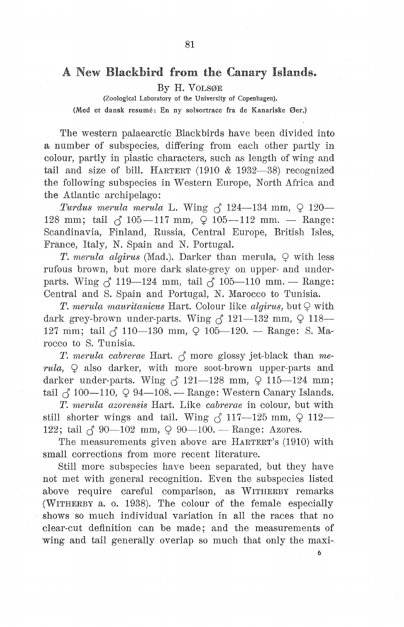# A New Blackbird from the Canary Islands.

By H. VOLSØE

(Zoological Laboratory of the University of Copenhagen).

(Med et dansk resume: En ny solsortrace fra de Kanariske Øer.)

The western palaearctic Blackbirds have been divided into a number of subspecies, differing from each other partly in colour, partly in piastic characters, such as length of wing and tail and size of bill. HARTERT  $(1910 \& 1932-38)$  recognized the following subspecies in Western Europe, North Africa and the Atlantic archipelago:

*Turdus merula merula* L. Wing  $\zeta$  124-134 mm,  $\Omega$  120-128 mm; tail  $\zeta$  105-117 mm,  $\Omega$  105-112 mm. - Range: Scandinavia, Finland, Russia, Central Europe, British Isles, France, Italy, N. Spain and N. Portugal.

*T. merula algirus* (Mad.). Darker than merula,  $\circ$  with less rufous brown, but more dark slate-grey on upper- and underparts. Wing  $\zeta$  119-124 mm, tail  $\zeta$  105-110 mm. - Range: Central and S. Spain and Portugal, N. Marocco to Tunisia.

T. *merula mauritanicus* Hart. Colour like *algirus*, but  $\mathcal Q$  with dark grey-brown under-parts. Wing  $\zeta$  121-132 mm,  $\Omega$  118-127 mm; tail  $\zeta$  110-130 mm,  $\varphi$  105-120. - Range: S. Marocco to S. Tunisia.

T. *merula cabrerae* Hart.  $\beta$  more glossy jet-black than *me*-*1·ula,* 9 also darker, with more soot-brown upper-parts and darker under-parts. Wing  $\beta$  121-128 mm,  $\Omega$  115-124 mm; tail  $\zeta$  100-110,  $\varphi$  94-108. - Range: Western Canary Islands.

T. *merula azorensis* Hart. Like *cabrerae* in colour, but with still shorter wings and tail. Wing  $\zeta$  117-125 mm,  $\varphi$  112-122; tail  $\zeta$  90-102 mm,  $\Omega$  90-100. - Range: Azores.

The measurements given above are HARTERT's (1910) with small corrections from more recent literature.

Still more subspecies have been separated, but they have not met with general recognition. Even the subspecies listed above require careful comparison, as WITHERBY remarks (WITHERBY a. o. 1938). The colour of the female especially shows so much individual variation in all the races that no clear-cut definition can be made; and the measurements of wing and tail generally overlap so much that only the maxi-

6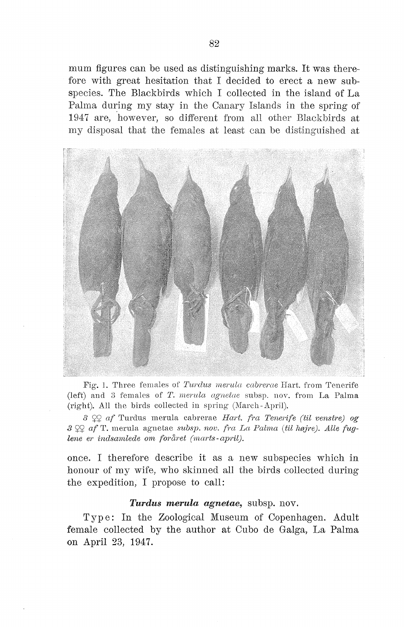mum figures can be used as distinguishing marks. It was therefore with great hesitation that I decided to erect a new subspecies. The Blackbirds which I collected in the island of La Palma during my stay in the Canary Islands in the spring of 1947 are, however, so different from all other Blackbirds at my disposal that the females at least can be distinguished at



Fig. 1. Three females of *Turdus merula cabrerae* Hart, from Tenerife (left) and 3 females of *T. merula agnetae* subsp. nov. from La Palma (right). All the birds collected in spring (March-April).

*3* S2S2 *af* Turdus merula cabrerae *Hart. fra Tenerife (til venstre) og 3 af* 'I'. merula agnetae *S'ubsp. nov. fra La Palma (til højre). Alle fuglene er indsamlede om foråret (niarts- april).* 

once. I therefore describe it as a new subspecies which in honour of my wife, who skinned all the birds collected during the expedition, I propose to call:

#### *Turdus merula agnetae,* subsp. nov.

Type: In the Zoological Museum of Copenhagen. Adult female collected by the author at Cubo de Galga, La Palma on April 23, 1947.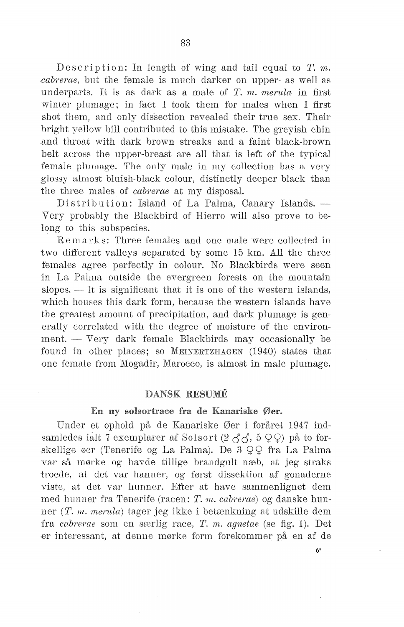Description: In length of wing and tail equal to *T. m.* cabrerae, but the female is much darker on upper- as well as underparts. It is as dark as a male of  $T$ ,  $m$ , merula in first winter plumage; in fact I took them for males when I first shot them, and only dissection revealed their true sex. Their bright vellow bill contributed to this mistake. The grevish chin and throat with dark brown streaks and a faint black-brown belt across the upper-breast are all that is left of the typical female plumage. The only male in my collection has a very glossy almost bluish-black colour, distinctly deeper black than the three males of *cabrerae* at my disposal.

Distribution: Island of La Palma, Canary Islands. -Very probably the Blackbird of Hierro will also prove to belong to this subspecies.

Remarks: Three females and one male were collected in two different valleys separated by some 15 km. All the three females agree perfectly in colour. No Blackbirds were seen in La Palma outside the evergreen forests on the mountain slopes.  $\overline{-1}$  It is significant that it is one of the western islands, which houses this dark form, because the western islands have the greatest amount of precipitation, and dark plumage is generally correlated with the degree of moisture of the environ $ment. - Very dark female Blackbirds may occasionally be$ found in other places; so MEINERTZHAGEN  $(1940)$  states that one female from Mogadir, Marocco, is almost in male plumage.

# **DANSK RESUMÉ**

## En ny solsortrace fra de Kanariske Øer.

Under et ophold på de Kanariske Øer i foråret 1947 indsamledes ialt 7 exemplarer af Solsort  $(2 \land \land, 5 \lor \lor)$  på to forskellige øer (Tenerife og La Palma). De  $3 \n\mathcal{Q} \n\mathcal{Q}$  fra La Palma var så mørke og havde tillige brandgult næb, at jeg straks troede, at det var hanner, og først dissektion af gonaderne viste, at det var hunner. Efter at have sammenlignet dem med hunner fra Tenerife (racen: *T. rn. cabrerae)* og danske hunner (T. *m. merula*) tager jeg ikke i betænkning at udskille dem fra *cabrerae* som en særlig race, *T. m. aqnetae* (se fig. 1). Det er interessant, at denne mørke form forekommer på en af de

6\*